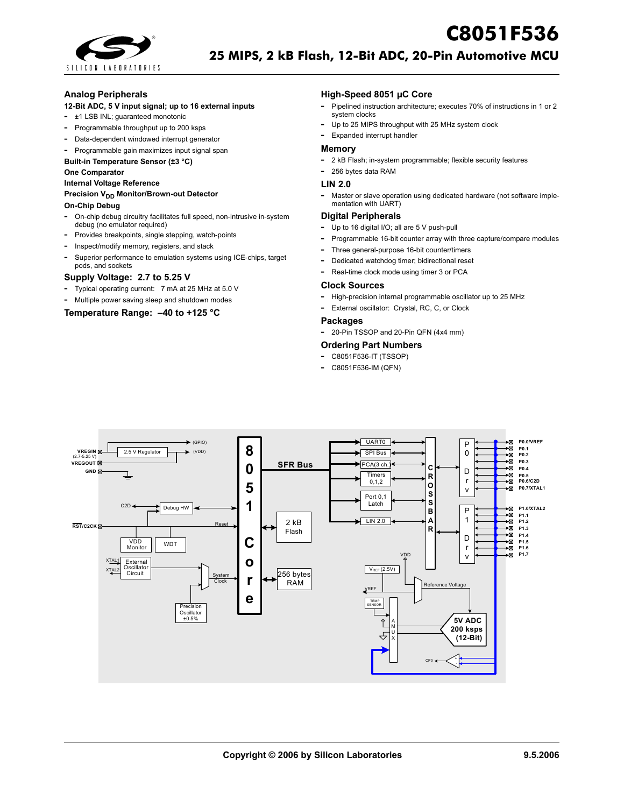

## **Analog Peripherals**

## **12-Bit ADC, 5 V input signal; up to 16 external inputs**

- **-** ±1 LSB INL; guaranteed monotonic
- **-** Programmable throughput up to 200 ksps
- **-** Data-dependent windowed interrupt generator
- **-** Programmable gain maximizes input signal span

## **Built-in Temperature Sensor (±3 °C)**

#### **One Comparator**

**Internal Voltage Reference**

#### **Precision V<sub>DD</sub> Monitor/Brown-out Detector**

#### **On-Chip Debug**

- **-** On-chip debug circuitry facilitates full speed, non-intrusive in-system debug (no emulator required)
- **-** Provides breakpoints, single stepping, watch-points
- **-** Inspect/modify memory, registers, and stack
- **-** Superior performance to emulation systems using ICE-chips, target pods, and sockets

## **Supply Voltage: 2.7 to 5.25 V**

- **-** Typical operating current: 7 mA at 25 MHz at 5.0 V
- **-** Multiple power saving sleep and shutdown modes

## **Temperature Range: –40 to +125 °C**

### **High-Speed 8051 µC Core**

**-** Pipelined instruction architecture; executes 70% of instructions in 1 or 2 system clocks

**C8051F536**

- **-** Up to 25 MIPS throughput with 25 MHz system clock
- **-** Expanded interrupt handler

#### **Memory**

- **-** 2 kB Flash; in-system programmable; flexible security features
- **-** 256 bytes data RAM

## **LIN 2.0**

**-** Master or slave operation using dedicated hardware (not software implementation with UART)

## **Digital Peripherals**

- **-** Up to 16 digital I/O; all are 5 V push-pull
- **-** Programmable 16-bit counter array with three capture/compare modules
- **-** Three general-purpose 16-bit counter/timers
- **-** Dedicated watchdog timer; bidirectional reset
- **-** Real-time clock mode using timer 3 or PCA

#### **Clock Sources**

- **-** High-precision internal programmable oscillator up to 25 MHz
- **-** External oscillator: Crystal, RC, C, or Clock

#### **Packages**

**-** 20-Pin TSSOP and 20-Pin QFN (4x4 mm)

### **Ordering Part Numbers**

- **-** C8051F536-IT (TSSOP)
- **-** C8051F536-IM (QFN)